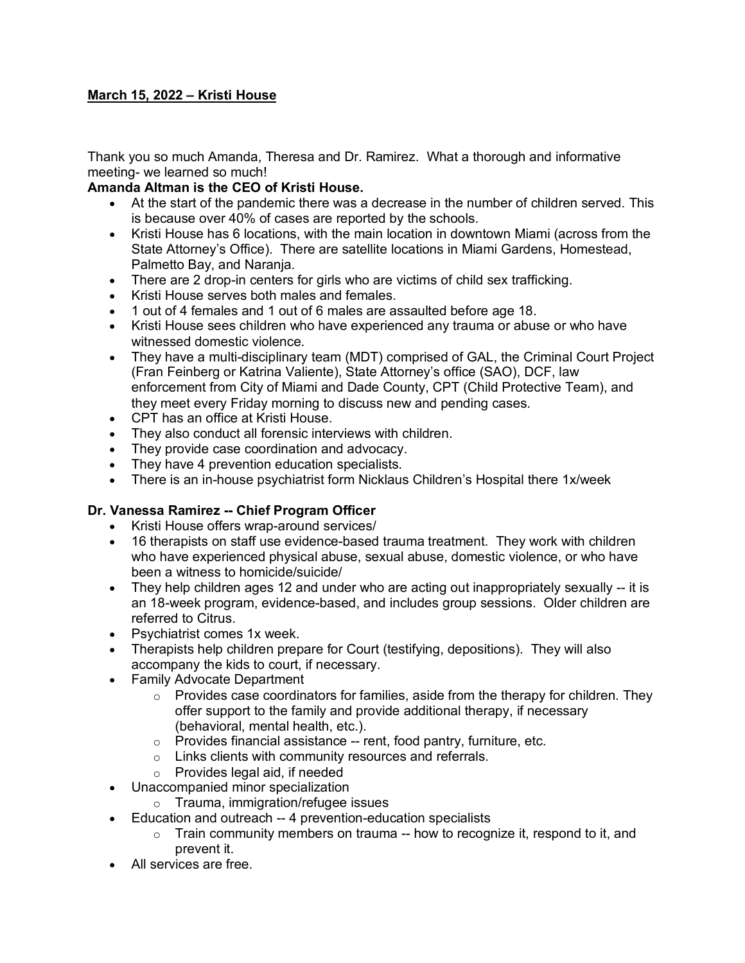#### **March 15, 2022 – Kristi House**

Thank you so much Amanda, Theresa and Dr. Ramirez. What a thorough and informative meeting- we learned so much!

#### **Amanda Altman is the CEO of Kristi House.**

- At the start of the pandemic there was a decrease in the number of children served. This is because over 40% of cases are reported by the schools.
- Kristi House has 6 locations, with the main location in downtown Miami (across from the State Attorney's Office). There are satellite locations in Miami Gardens, Homestead, Palmetto Bay, and Naranja.
- There are 2 drop-in centers for girls who are victims of child sex trafficking.
- Kristi House serves both males and females.
- 1 out of 4 females and 1 out of 6 males are assaulted before age 18.
- Kristi House sees children who have experienced any trauma or abuse or who have witnessed domestic violence.
- They have a multi-disciplinary team (MDT) comprised of GAL, the Criminal Court Project (Fran Feinberg or Katrina Valiente), State Attorney's office (SAO), DCF, law enforcement from City of Miami and Dade County, CPT (Child Protective Team), and they meet every Friday morning to discuss new and pending cases.
- CPT has an office at Kristi House.
- They also conduct all forensic interviews with children.
- They provide case coordination and advocacy.
- They have 4 prevention education specialists.
- There is an in-house psychiatrist form Nicklaus Children's Hospital there 1x/week

#### **Dr. Vanessa Ramirez -- Chief Program Officer**

- Kristi House offers wrap-around services/
- 16 therapists on staff use evidence-based trauma treatment. They work with children who have experienced physical abuse, sexual abuse, domestic violence, or who have been a witness to homicide/suicide/
- They help children ages 12 and under who are acting out inappropriately sexually -- it is an 18-week program, evidence-based, and includes group sessions. Older children are referred to Citrus.
- Psychiatrist comes 1x week.
- Therapists help children prepare for Court (testifying, depositions). They will also accompany the kids to court, if necessary.
- Family Advocate Department
	- $\circ$  Provides case coordinators for families, aside from the therapy for children. They offer support to the family and provide additional therapy, if necessary (behavioral, mental health, etc.).
	- $\circ$  Provides financial assistance -- rent, food pantry, furniture, etc.
	- o Links clients with community resources and referrals.
	- o Provides legal aid, if needed
- Unaccompanied minor specialization
	- o Trauma, immigration/refugee issues
- Education and outreach -- 4 prevention-education specialists
	- $\circ$  Train community members on trauma -- how to recognize it, respond to it, and prevent it.
- All services are free.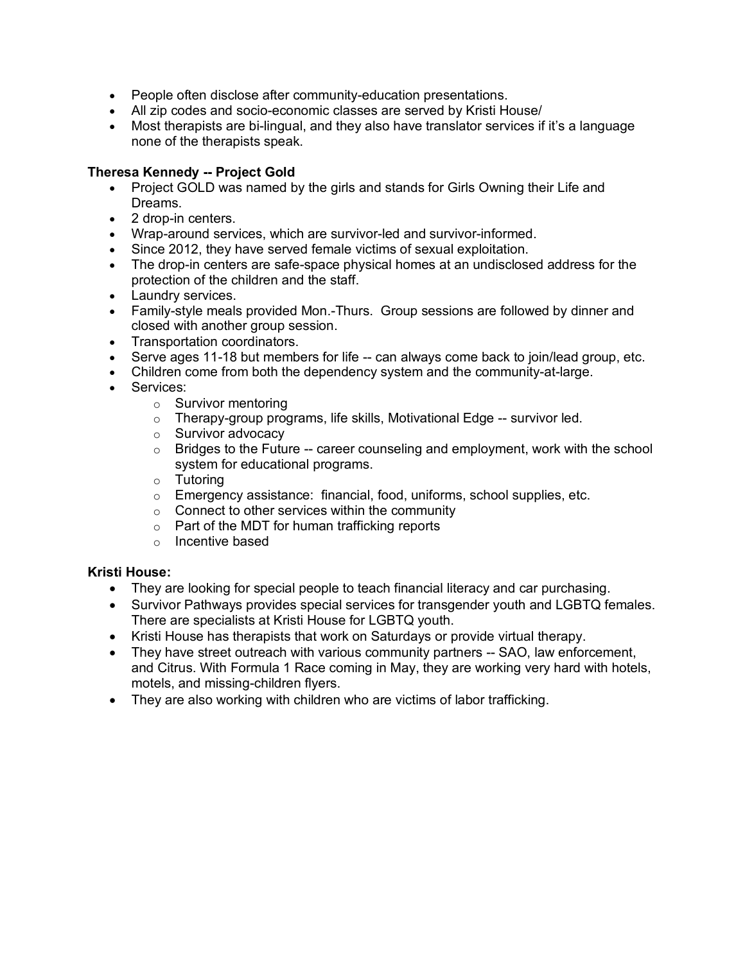- People often disclose after community-education presentations.
- All zip codes and socio-economic classes are served by Kristi House/
- Most therapists are bi-lingual, and they also have translator services if it's a language none of the therapists speak.

#### **Theresa Kennedy -- Project Gold**

- Project GOLD was named by the girls and stands for Girls Owning their Life and Dreams.
- 2 drop-in centers.
- Wrap-around services, which are survivor-led and survivor-informed.
- Since 2012, they have served female victims of sexual exploitation.
- The drop-in centers are safe-space physical homes at an undisclosed address for the protection of the children and the staff.
- Laundry services.
- Family-style meals provided Mon.-Thurs. Group sessions are followed by dinner and closed with another group session.
- Transportation coordinators.
- Serve ages 11-18 but members for life -- can always come back to join/lead group, etc.
- Children come from both the dependency system and the community-at-large.
- Services:
	- o Survivor mentoring
	- o Therapy-group programs, life skills, Motivational Edge -- survivor led.
	- o Survivor advocacy
	- $\circ$  Bridges to the Future -- career counseling and employment, work with the school system for educational programs.
	- o Tutoring
	- o Emergency assistance: financial, food, uniforms, school supplies, etc.
	- $\circ$  Connect to other services within the community
	- o Part of the MDT for human trafficking reports
	- o Incentive based

#### **Kristi House:**

- They are looking for special people to teach financial literacy and car purchasing.
- Survivor Pathways provides special services for transgender youth and LGBTQ females. There are specialists at Kristi House for LGBTQ youth.
- Kristi House has therapists that work on Saturdays or provide virtual therapy.
- They have street outreach with various community partners -- SAO, law enforcement, and Citrus. With Formula 1 Race coming in May, they are working very hard with hotels, motels, and missing-children flyers.
- They are also working with children who are victims of labor trafficking.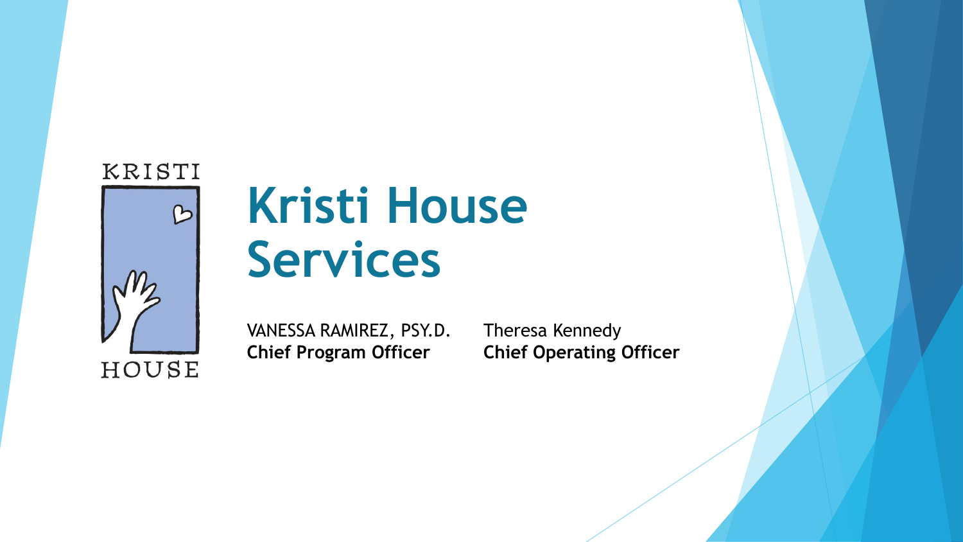#### KRISTI



## **Kristi House Services**

VANESSA RAMIREZ, PSY.D. **Chief Program Officer**

Theresa Kennedy **Chief Operating Officer**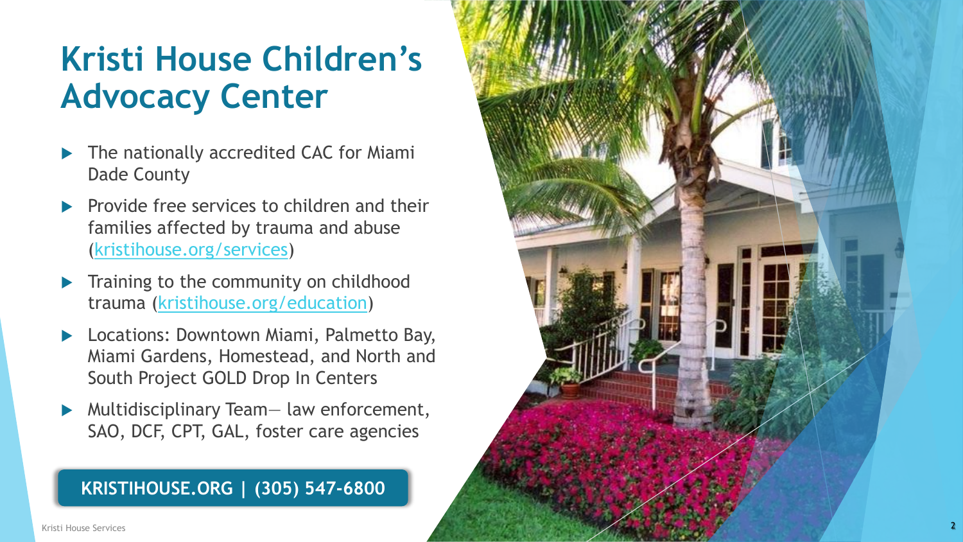### **Kristi House Children's Advocacy Center**

- The nationally accredited CAC for Miami Dade County
- Provide free services to children and their families affected by trauma and abuse<br>[\(kristihouse.org/services](https://kristihouse.org/services))
- **Training to the community on childhood** trauma [\(kristihouse.org/education](https://kristihouse.org/education/))
- **Locations: Downtown Miami, Palmetto Bay,** Miami Gardens, Homestead, and North and South Project GOLD Drop In Centers
- Multidisciplinary Team law enforcement, SAO, DCF, CPT, GAL, foster care agencies

#### **KRISTIHOUSE.ORG | (305) 547 -6800**

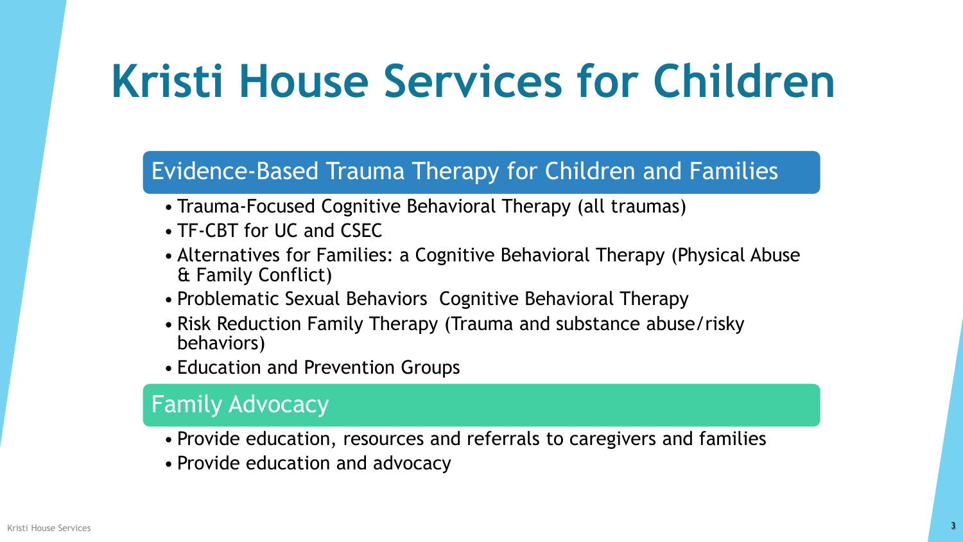## **Kristi House Services for Children**

### Evidence-Based Trauma Therapy for Children and Families

- Trauma-Focused Cognitive Behavioral Therapy (all traumas)
- TF-CBT for UC and CSEC
- Alternatives for Families: a Cognitive Behavioral Therapy (Physical Abuse & Family Conflict)
- Problematic Sexual Behaviors Cognitive Behavioral Therapy
- Risk Reduction Family Therapy (Trauma and substance abuse/risky behaviors)
- Education and Prevention Groups

#### Family Advocacy

- Provide education, resources and referrals to caregivers and families
- Provide education and advocacy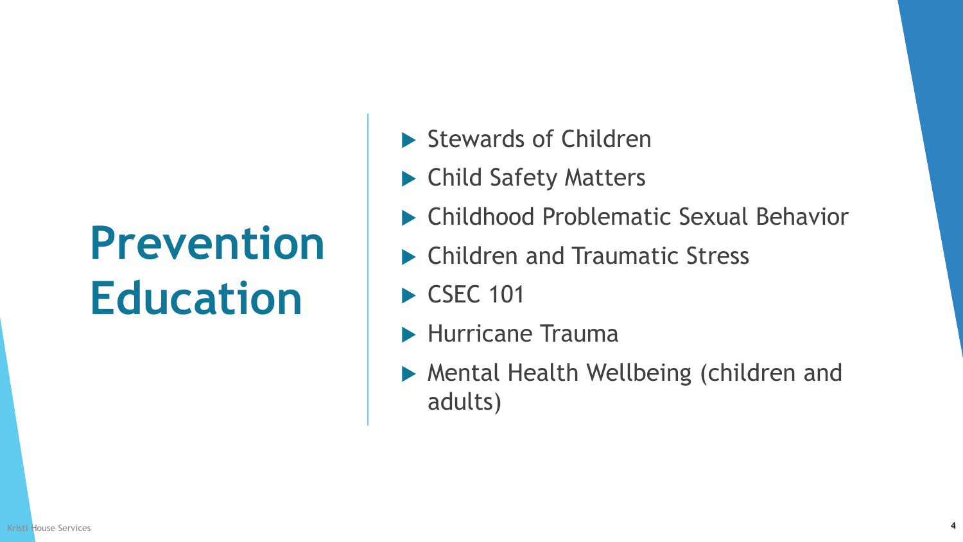## **Prevention Education**

- Stewards of Children
- ▶ Child Safety Matters
- Childhood Problematic Sexual Behavior
- ▶ Children and Traumatic Stress
- ▶ CSEC 101
- **Hurricane Trauma**
- Mental Health Wellbeing (children and adults)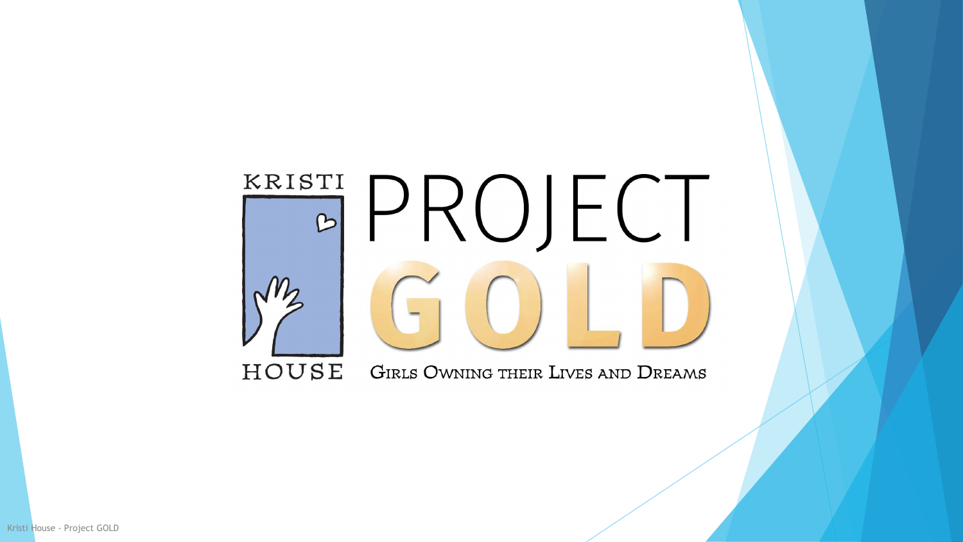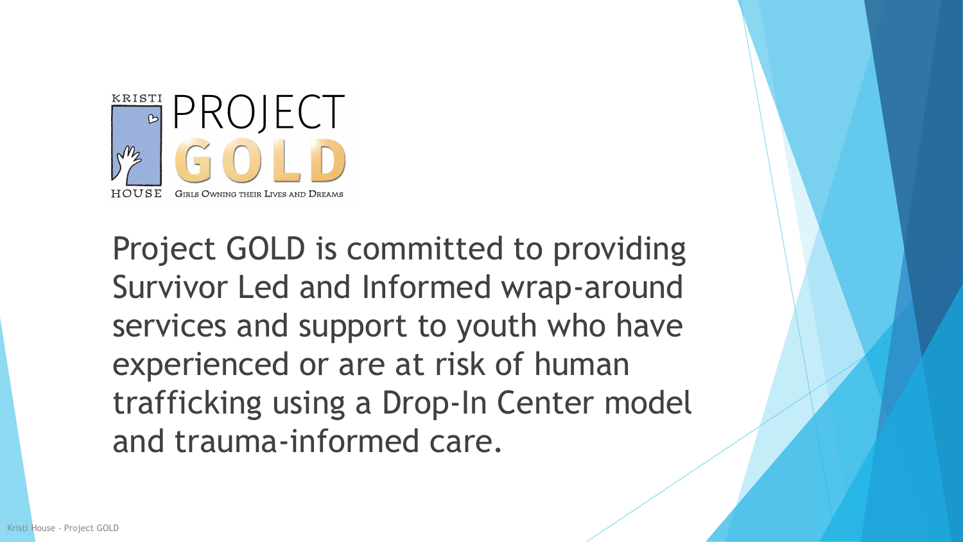

Project GOLD is committed to providing Survivor Led and Informed wrap-around services and support to youth who have experienced or are at risk of human trafficking using a Drop-In Center model and trauma-informed care.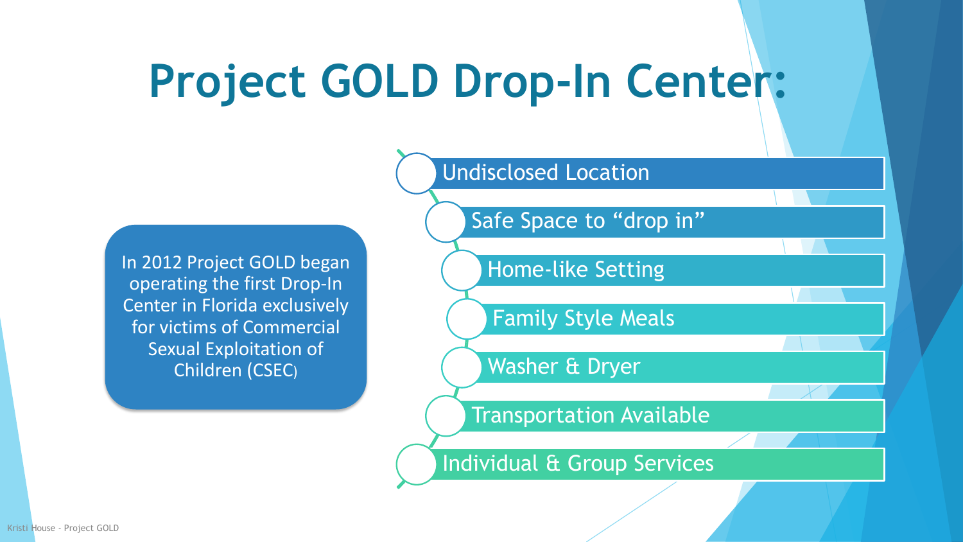## **Project GOLD Drop-In Center:**

In 2012 Project GOLD began operating the first Drop-In Center in Florida exclusively for victims of Commercial Sexual Exploitation of Children (CSEC)

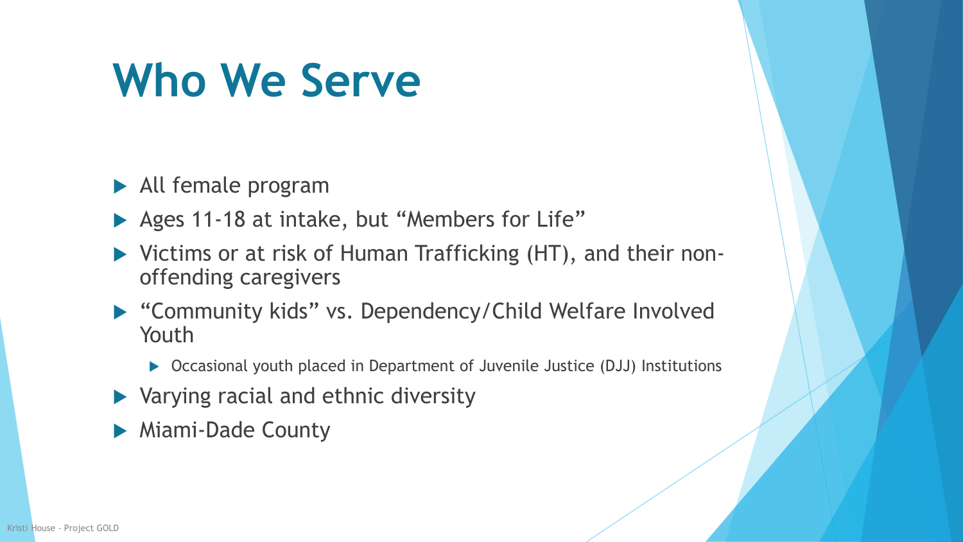### **Who We Serve**

- ▶ All female program
- Ages 11-18 at intake, but "Members for Life"
- ▶ Victims or at risk of Human Trafficking (HT), and their nonoffending caregivers
- "Community kids" vs. Dependency/Child Welfare Involved Youth
	- ▶ Occasional youth placed in Department of Juvenile Justice (DJJ) Institutions
- ▶ Varying racial and ethnic diversity
- **Miami-Dade County**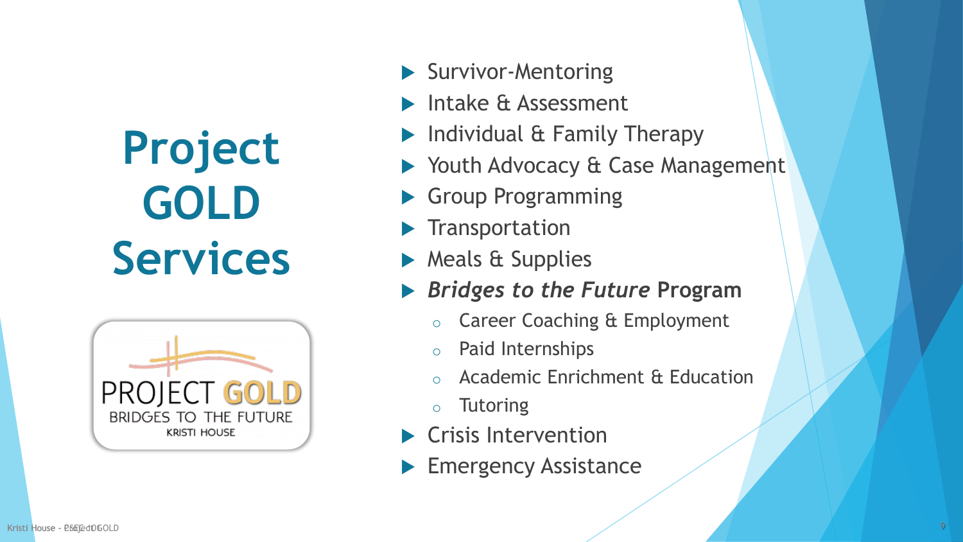**Project GOLD Services**



- Survivor-Mentoring
- Intake & Assessment
- Individual & Family Therapy
- Youth Advocacy & Case Management
- Group Programming
- $\blacktriangleright$  Transportation
- **Meals & Supplies**
- *Bridges to the Future* **Program**
	- o Career Coaching & Employment
	- o Paid Internships
	- Academic Enrichment & Education
	- o Tutoring
- Crisis Intervention
- **Emergency Assistance**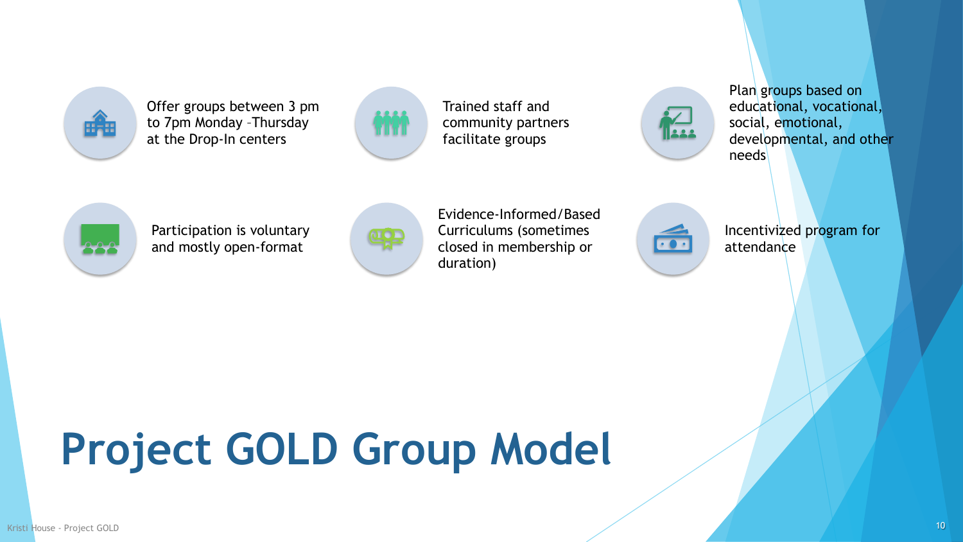

Offer groups between 3 pm to 7pm Monday –Thursday at the Drop-In centers



Trained staff and community partners facilitate groups



Plan groups based on educational, vocational, social, emotional, developmental, and other needs



Participation is voluntary and mostly open-format



Evidence-Informed/Based Curriculums (sometimes closed in membership or duration)



Incentivized program for attendance

## **Project GOLD Group Model**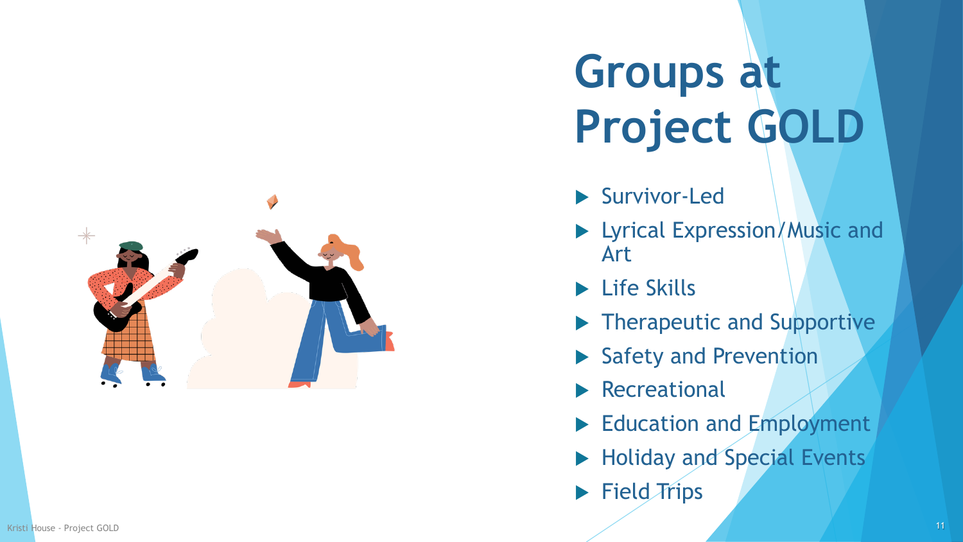

# **Groups at Project GOLD**

- ▶ Survivor-Led
- **Lyrical Expression/Music and** Art
- $\blacktriangleright$  Life Skills
- Therapeutic and Supportive
- Safety and Prevention
- $\blacktriangleright$  Recreational
- Education and Employment
- Holiday and Special Events
- $\blacktriangleright$  Field Trips